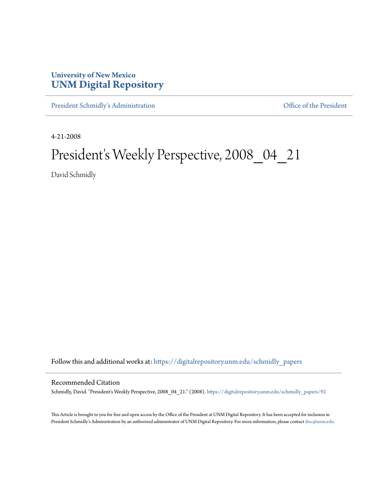## **University of New Mexico [UNM Digital Repository](https://digitalrepository.unm.edu?utm_source=digitalrepository.unm.edu%2Fschmidly_papers%2F92&utm_medium=PDF&utm_campaign=PDFCoverPages)**

[President Schmidly's Administration](https://digitalrepository.unm.edu/schmidly_papers?utm_source=digitalrepository.unm.edu%2Fschmidly_papers%2F92&utm_medium=PDF&utm_campaign=PDFCoverPages) [Office of the President](https://digitalrepository.unm.edu/ofc_president?utm_source=digitalrepository.unm.edu%2Fschmidly_papers%2F92&utm_medium=PDF&utm_campaign=PDFCoverPages)

4-21-2008

## President's Weekly Perspective, 2008\_04\_21

David Schmidly

Follow this and additional works at: [https://digitalrepository.unm.edu/schmidly\\_papers](https://digitalrepository.unm.edu/schmidly_papers?utm_source=digitalrepository.unm.edu%2Fschmidly_papers%2F92&utm_medium=PDF&utm_campaign=PDFCoverPages)

## Recommended Citation

Schmidly, David. "President's Weekly Perspective, 2008\_04\_21." (2008). [https://digitalrepository.unm.edu/schmidly\\_papers/92](https://digitalrepository.unm.edu/schmidly_papers/92?utm_source=digitalrepository.unm.edu%2Fschmidly_papers%2F92&utm_medium=PDF&utm_campaign=PDFCoverPages)

This Article is brought to you for free and open access by the Office of the President at UNM Digital Repository. It has been accepted for inclusion in President Schmidly's Administration by an authorized administrator of UNM Digital Repository. For more information, please contact [disc@unm.edu](mailto:disc@unm.edu).